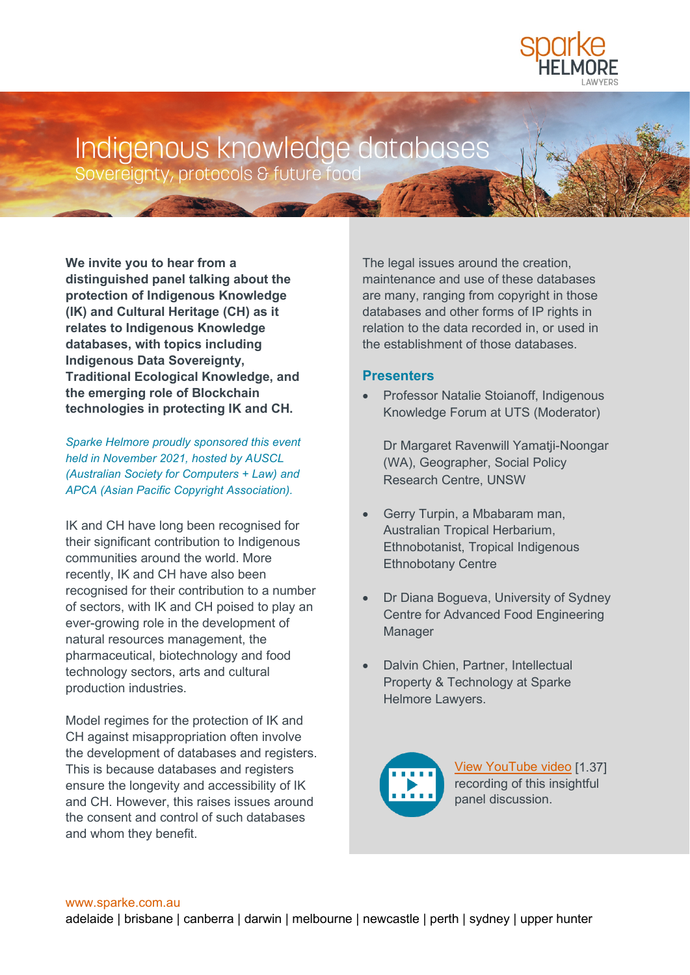

## Indigenous knowledge databases

Sovereignty, protocols & future food

**We invite you to hear from a distinguished panel talking about the protection of Indigenous Knowledge (IK) and Cultural Heritage (CH) as it relates to Indigenous Knowledge databases, with topics including Indigenous Data Sovereignty, Traditional Ecological Knowledge, and the emerging role of Blockchain technologies in protecting IK and CH.**

*Sparke Helmore proudly sponsored this event held in November 2021, hosted by AUSCL (Australian Society for Computers + Law) and APCA (Asian Pacific Copyright Association).* 

IK and CH have long been recognised for their significant contribution to Indigenous communities around the world. More recently, IK and CH have also been recognised for their contribution to a number of sectors, with IK and CH poised to play an ever-growing role in the development of natural resources management, the pharmaceutical, biotechnology and food technology sectors, arts and cultural production industries.

Model regimes for the protection of IK and CH against misappropriation often involve the development of databases and registers. This is because databases and registers ensure the longevity and accessibility of IK and CH. However, this raises issues around the consent and control of such databases and whom they benefit.

The legal issues around the creation, maintenance and use of these databases are many, ranging from copyright in those databases and other forms of IP rights in relation to the data recorded in, or used in the establishment of those databases.

## **Presenters**

• Professor Natalie Stoianoff, Indigenous Knowledge Forum at UTS (Moderator)

Dr Margaret Ravenwill Yamatji-Noongar (WA), Geographer, Social Policy Research Centre, UNSW

- Gerry Turpin, a Mbabaram man, Australian Tropical Herbarium, Ethnobotanist, Tropical Indigenous Ethnobotany Centre
- Dr Diana Bogueva, University of Sydney Centre for Advanced Food Engineering Manager
- Dalvin Chien, Partner, Intellectual Property & Technology at Sparke Helmore Lawyers.